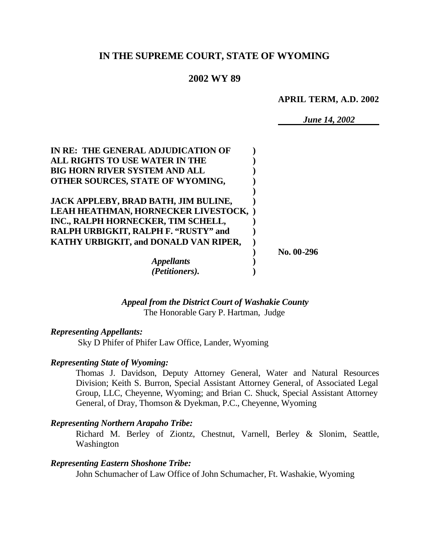# **IN THE SUPREME COURT, STATE OF WYOMING**

#### **2002 WY 89**

**APRIL TERM, A.D. 2002**

*June 14, 2002*

| IN RE: THE GENERAL ADJUDICATION OF    |              |
|---------------------------------------|--------------|
| ALL RIGHTS TO USE WATER IN THE        |              |
| <b>BIG HORN RIVER SYSTEM AND ALL</b>  |              |
| OTHER SOURCES, STATE OF WYOMING,      |              |
|                                       |              |
| JACK APPLEBY, BRAD BATH, JIM BULINE,  |              |
| LEAH HEATHMAN, HORNECKER LIVESTOCK, ) |              |
| INC., RALPH HORNECKER, TIM SCHELL,    |              |
| RALPH URBIGKIT, RALPH F. "RUSTY" and  |              |
| KATHY URBIGKIT, and DONALD VAN RIPER, |              |
|                                       | No. $00-296$ |
| <i><b>Appellants</b></i>              |              |
| (Petitioners).                        |              |

*Appeal from the District Court of Washakie County* The Honorable Gary P. Hartman, Judge

#### *Representing Appellants:*

Sky D Phifer of Phifer Law Office, Lander, Wyoming

#### *Representing State of Wyoming:*

Thomas J. Davidson, Deputy Attorney General, Water and Natural Resources Division; Keith S. Burron, Special Assistant Attorney General, of Associated Legal Group, LLC, Cheyenne, Wyoming; and Brian C. Shuck, Special Assistant Attorney General, of Dray, Thomson & Dyekman, P.C., Cheyenne, Wyoming

#### *Representing Northern Arapaho Tribe:*

Richard M. Berley of Ziontz, Chestnut, Varnell, Berley & Slonim, Seattle, Washington

#### *Representing Eastern Shoshone Tribe:*

John Schumacher of Law Office of John Schumacher, Ft. Washakie, Wyoming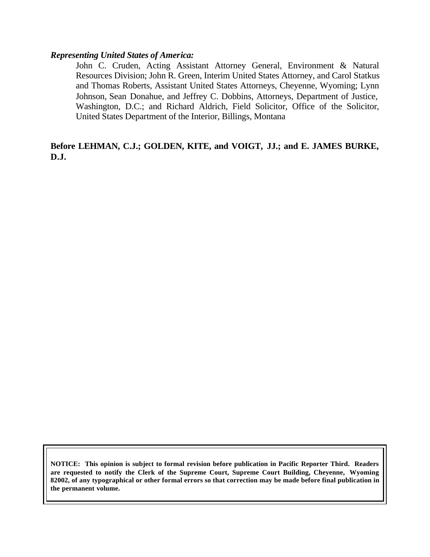#### *Representing United States of America:*

John C. Cruden, Acting Assistant Attorney General, Environment & Natural Resources Division; John R. Green, Interim United States Attorney, and Carol Statkus and Thomas Roberts, Assistant United States Attorneys, Cheyenne, Wyoming; Lynn Johnson, Sean Donahue, and Jeffrey C. Dobbins, Attorneys, Department of Justice, Washington, D.C.; and Richard Aldrich, Field Solicitor, Office of the Solicitor, United States Department of the Interior, Billings, Montana

#### **Before LEHMAN, C.J.; GOLDEN, KITE, and VOIGT, JJ.; and E. JAMES BURKE, D.J.**

**NOTICE: This opinion is subject to formal revision before publication in Pacific Reporter Third. Readers are requested to notify the Clerk of the Supreme Court, Supreme Court Building, Cheyenne, Wyoming 82002, of any typographical or other formal errors so that correction may be made before final publication in the permanent volume.**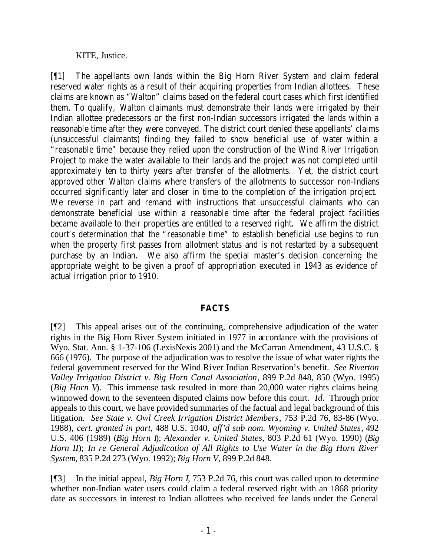KITE, Justice.

[¶1] The appellants own lands within the Big Horn River System and claim federal reserved water rights as a result of their acquiring properties from Indian allottees. These claims are known as "*Walton*" claims based on the federal court cases which first identified them. To qualify, *Walton* claimants must demonstrate their lands were irrigated by their Indian allottee predecessors or the first non-Indian successors irrigated the lands within a reasonable time after they were conveyed. The district court denied these appellants' claims (unsuccessful claimants) finding they failed to show beneficial use of water within a "reasonable time" because they relied upon the construction of the Wind River Irrigation Project to make the water available to their lands and the project was not completed until approximately ten to thirty years after transfer of the allotments. Yet, the district court approved other *Walton* claims where transfers of the allotments to successor non-Indians occurred significantly later and closer in time to the completion of the irrigation project. We reverse in part and remand with instructions that unsuccessful claimants who can demonstrate beneficial use within a reasonable time after the federal project facilities became available to their properties are entitled to a reserved right. We affirm the district court's determination that the "reasonable time" to establish beneficial use begins to run when the property first passes from allotment status and is not restarted by a subsequent purchase by an Indian. We also affirm the special master's decision concerning the appropriate weight to be given a proof of appropriation executed in 1943 as evidence of actual irrigation prior to 1910.

## **FACTS**

[¶2] This appeal arises out of the continuing, comprehensive adjudication of the water rights in the Big Horn River System initiated in 1977 in accordance with the provisions of Wyo. Stat. Ann. § 1-37-106 (LexisNexis 2001) and the McCarran Amendment, 43 U.S.C. § 666 (1976). The purpose of the adjudication was to resolve the issue of what water rights the federal government reserved for the Wind River Indian Reservation's benefit. *See Riverton Valley Irrigation District v. Big Horn Canal Association*, 899 P.2d 848, 850 (Wyo. 1995) (*Big Horn V*). This immense task resulted in more than 20,000 water rights claims being winnowed down to the seventeen disputed claims now before this court. *Id.* Through prior appeals to this court, we have provided summaries of the factual and legal background of this litigation. *See State v. Owl Creek Irrigation District Members*, 753 P.2d 76, 83-86 (Wyo. 1988), *cert. granted in part*, 488 U.S. 1040, *aff'd sub nom. Wyoming v. United States*, 492 U.S. 406 (1989) (*Big Horn I*); *Alexander v. United States*, 803 P.2d 61 (Wyo. 1990) (*Big Horn II*); *In re General Adjudication of All Rights to Use Water in the Big Horn River System*, 835 P.2d 273 (Wyo. 1992); *Big Horn V,* 899 P.2d 848.

[¶3] In the initial appeal, *Big Horn I*, 753 P.2d 76, this court was called upon to determine whether non-Indian water users could claim a federal reserved right with an 1868 priority date as successors in interest to Indian allottees who received fee lands under the General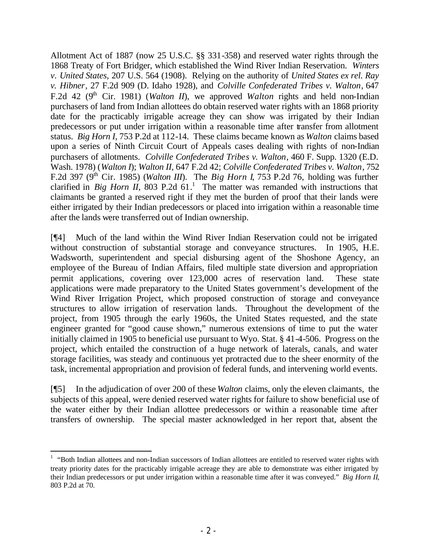Allotment Act of 1887 (now 25 U.S.C. §§ 331-358) and reserved water rights through the 1868 Treaty of Fort Bridger, which established the Wind River Indian Reservation. *Winters v. United States,* 207 U.S. 564 (1908). Relying on the authority of *United States ex rel. Ray v. Hibner*, 27 F.2d 909 (D. Idaho 1928), and *Colville Confederated Tribes v. Walton*, 647 F.2d 42 (9<sup>th</sup> Cir. 1981) (*Walton II*), we approved *Walton* rights and held non-Indian purchasers of land from Indian allottees do obtain reserved water rights with an 1868 priority date for the practicably irrigable acreage they can show was irrigated by their Indian predecessors or put under irrigation within a reasonable time after transfer from allotment status. *Big Horn I,* 753 P.2d at 112-14. These claims became known as *Walton* claims based upon a series of Ninth Circuit Court of Appeals cases dealing with rights of non-Indian purchasers of allotments. *Colville Confederated Tribes v. Walton*, 460 F. Supp. 1320 (E.D. Wash. 1978) (*Walton I*); *Walton II,* 647 F.2d 42; *Colville Confederated Tribes v. Walton*, 752 F.2d 397 (9<sup>th</sup> Cir. 1985) (*Walton III*). The *Big Horn I*, 753 P.2d 76, holding was further clarified in *Big Horn II*, 803 P.2d  $61<sup>1</sup>$ . The matter was remanded with instructions that claimants be granted a reserved right if they met the burden of proof that their lands were either irrigated by their Indian predecessors or placed into irrigation within a reasonable time after the lands were transferred out of Indian ownership.

[¶4] Much of the land within the Wind River Indian Reservation could not be irrigated without construction of substantial storage and conveyance structures. In 1905, H.E. Wadsworth, superintendent and special disbursing agent of the Shoshone Agency, an employee of the Bureau of Indian Affairs, filed multiple state diversion and appropriation permit applications, covering over 123,000 acres of reservation land. These state applications were made preparatory to the United States government's development of the Wind River Irrigation Project, which proposed construction of storage and conveyance structures to allow irrigation of reservation lands. Throughout the development of the project, from 1905 through the early 1960s, the United States requested, and the state engineer granted for "good cause shown," numerous extensions of time to put the water initially claimed in 1905 to beneficial use pursuant to Wyo. Stat. § 41-4-506. Progress on the project, which entailed the construction of a huge network of laterals, canals, and water storage facilities, was steady and continuous yet protracted due to the sheer enormity of the task, incremental appropriation and provision of federal funds, and intervening world events.

[¶5] In the adjudication of over 200 of these *Walton* claims, only the eleven claimants, the subjects of this appeal, were denied reserved water rights for failure to show beneficial use of the water either by their Indian allottee predecessors or within a reasonable time after transfers of ownership. The special master acknowledged in her report that, absent the

 $1$  "Both Indian allottees and non-Indian successors of Indian allottees are entitled to reserved water rights with treaty priority dates for the practicably irrigable acreage they are able to demonstrate was either irrigated by their Indian predecessors or put under irrigation within a reasonable time after it was conveyed." *Big Horn II*, 803 P.2d at 70.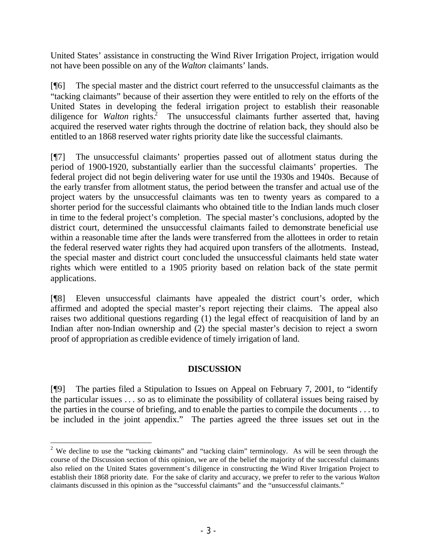United States' assistance in constructing the Wind River Irrigation Project, irrigation would not have been possible on any of the *Walton* claimants' lands.

[¶6] The special master and the district court referred to the unsuccessful claimants as the "tacking claimants" because of their assertion they were entitled to rely on the efforts of the United States in developing the federal irrigation project to establish their reasonable diligence for *Walton* rights.<sup>2</sup> The unsuccessful claimants further asserted that, having acquired the reserved water rights through the doctrine of relation back, they should also be entitled to an 1868 reserved water rights priority date like the successful claimants.

[¶7] The unsuccessful claimants' properties passed out of allotment status during the period of 1900-1920, substantially earlier than the successful claimants' properties. The federal project did not begin delivering water for use until the 1930s and 1940s. Because of the early transfer from allotment status, the period between the transfer and actual use of the project waters by the unsuccessful claimants was ten to twenty years as compared to a shorter period for the successful claimants who obtained title to the Indian lands much closer in time to the federal project's completion. The special master's conclusions, adopted by the district court, determined the unsuccessful claimants failed to demonstrate beneficial use within a reasonable time after the lands were transferred from the allottees in order to retain the federal reserved water rights they had acquired upon transfers of the allotments. Instead, the special master and district court concluded the unsuccessful claimants held state water rights which were entitled to a 1905 priority based on relation back of the state permit applications.

[¶8] Eleven unsuccessful claimants have appealed the district court's order, which affirmed and adopted the special master's report rejecting their claims. The appeal also raises two additional questions regarding (1) the legal effect of reacquisition of land by an Indian after non-Indian ownership and (2) the special master's decision to reject a sworn proof of appropriation as credible evidence of timely irrigation of land.

## **DISCUSSION**

[¶9] The parties filed a Stipulation to Issues on Appeal on February 7, 2001, to "identify the particular issues . . . so as to eliminate the possibility of collateral issues being raised by the parties in the course of briefing, and to enable the parties to compile the documents . . . to be included in the joint appendix." The parties agreed the three issues set out in the

<sup>&</sup>lt;sup>2</sup> We decline to use the "tacking claimants" and "tacking claim" terminology. As will be seen through the course of the Discussion section of this opinion, we are of the belief the majority of the successful claimants also relied on the United States government's diligence in constructing the Wind River Irrigation Project to establish their 1868 priority date. For the sake of clarity and accuracy, we prefer to refer to the various *Walton* claimants discussed in this opinion as the "successful claimants" and the "unsuccessful claimants."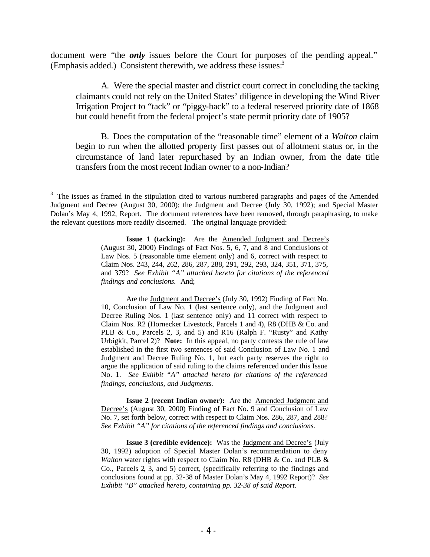document were "the *only* issues before the Court for purposes of the pending appeal." (Emphasis added.) Consistent therewith, we address these issues:<sup>3</sup>

A. Were the special master and district court correct in concluding the tacking claimants could not rely on the United States' diligence in developing the Wind River Irrigation Project to "tack" or "piggy-back" to a federal reserved priority date of 1868 but could benefit from the federal project's state permit priority date of 1905?

B. Does the computation of the "reasonable time" element of a *Walton* claim begin to run when the allotted property first passes out of allotment status or, in the circumstance of land later repurchased by an Indian owner, from the date title transfers from the most recent Indian owner to a non-Indian?

Are the Judgment and Decree's (July 30, 1992) Finding of Fact No. 10, Conclusion of Law No. 1 (last sentence only), and the Judgment and Decree Ruling Nos. 1 (last sentence only) and 11 correct with respect to Claim Nos. R2 (Hornecker Livestock, Parcels 1 and 4), R8 (DHB & Co. and PLB & Co., Parcels 2, 3, and 5) and R16 (Ralph F. "Rusty" and Kathy Urbigkit, Parcel 2)? **Note:** In this appeal, no party contests the rule of law established in the first two sentences of said Conclusion of Law No. 1 and Judgment and Decree Ruling No. 1, but each party reserves the right to argue the application of said ruling to the claims referenced under this Issue No. 1. *See Exhibit "A" attached hereto for citations of the referenced findings, conclusions, and Judgments.*

**Issue 2 (recent Indian owner):** Are the Amended Judgment and Decree's (August 30, 2000) Finding of Fact No. 9 and Conclusion of Law No. 7, set forth below, correct with respect to Claim Nos. 286, 287, and 288? *See Exhibit "A" for citations of the referenced findings and conclusions.*

**Issue 3 (credible evidence):** Was the Judgment and Decree's (July 30, 1992) adoption of Special Master Dolan's recommendation to deny *Walton* water rights with respect to Claim No. R8 (DHB & Co. and PLB & Co., Parcels 2, 3, and 5) correct, (specifically referring to the findings and conclusions found at pp. 32-38 of Master Dolan's May 4, 1992 Report)? *See Exhibit "B" attached hereto, containing pp. 32-38 of said Report.*

 $3$  The issues as framed in the stipulation cited to various numbered paragraphs and pages of the Amended Judgment and Decree (August 30, 2000); the Judgment and Decree (July 30, 1992); and Special Master Dolan's May 4, 1992, Report. The document references have been removed, through paraphrasing, to make the relevant questions more readily discerned. The original language provided:

**Issue 1 (tacking):** Are the Amended Judgment and Decree's (August 30, 2000) Findings of Fact Nos. 5, 6, 7, and 8 and Conclusions of Law Nos. 5 (reasonable time element only) and 6, correct with respect to Claim Nos. 243, 244, 262, 286, 287, 288, 291, 292, 293, 324, 351, 371, 375, and 379? *See Exhibit "A" attached hereto for citations of the referenced findings and conclusions.* And;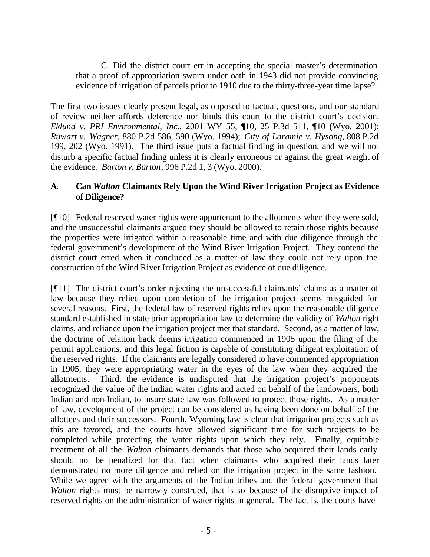C. Did the district court err in accepting the special master's determination that a proof of appropriation sworn under oath in 1943 did not provide convincing evidence of irrigation of parcels prior to 1910 due to the thirty-three-year time lapse?

The first two issues clearly present legal, as opposed to factual, questions, and our standard of review neither affords deference nor binds this court to the district court's decision. *Eklund v. PRI Environmental, Inc.*, 2001 WY 55, ¶10, 25 P.3d 511, ¶10 (Wyo. 2001); *Ruwart v. Wagner*, 880 P.2d 586, 590 (Wyo. 1994); *City of Laramie v. Hysong*, 808 P.2d 199, 202 (Wyo. 1991). The third issue puts a factual finding in question, and we will not disturb a specific factual finding unless it is clearly erroneous or against the great weight of the evidence*. Barton v. Barton*, 996 P.2d 1, 3 (Wyo. 2000).

#### **A. Can** *Walton* **Claimants Rely Upon the Wind River Irrigation Project as Evidence of Diligence?**

[¶10] Federal reserved water rights were appurtenant to the allotments when they were sold, and the unsuccessful claimants argued they should be allowed to retain those rights because the properties were irrigated within a reasonable time and with due diligence through the federal government's development of the Wind River Irrigation Project. They contend the district court erred when it concluded as a matter of law they could not rely upon the construction of the Wind River Irrigation Project as evidence of due diligence.

[¶11] The district court's order rejecting the unsuccessful claimants' claims as a matter of law because they relied upon completion of the irrigation project seems misguided for several reasons. First, the federal law of reserved rights relies upon the reasonable diligence standard established in state prior appropriation law to determine the validity of *Walton* right claims, and reliance upon the irrigation project met that standard. Second, as a matter of law, the doctrine of relation back deems irrigation commenced in 1905 upon the filing of the permit applications, and this legal fiction is capable of constituting diligent exploitation of the reserved rights. If the claimants are legally considered to have commenced appropriation in 1905, they were appropriating water in the eyes of the law when they acquired the allotments. Third, the evidence is undisputed that the irrigation project's proponents recognized the value of the Indian water rights and acted on behalf of the landowners, both Indian and non-Indian, to insure state law was followed to protect those rights. As a matter of law, development of the project can be considered as having been done on behalf of the allottees and their successors. Fourth, Wyoming law is clear that irrigation projects such as this are favored, and the courts have allowed significant time for such projects to be completed while protecting the water rights upon which they rely. Finally, equitable treatment of all the *Walton* claimants demands that those who acquired their lands early should not be penalized for that fact when claimants who acquired their lands later demonstrated no more diligence and relied on the irrigation project in the same fashion. While we agree with the arguments of the Indian tribes and the federal government that *Walton* rights must be narrowly construed, that is so because of the disruptive impact of reserved rights on the administration of water rights in general. The fact is, the courts have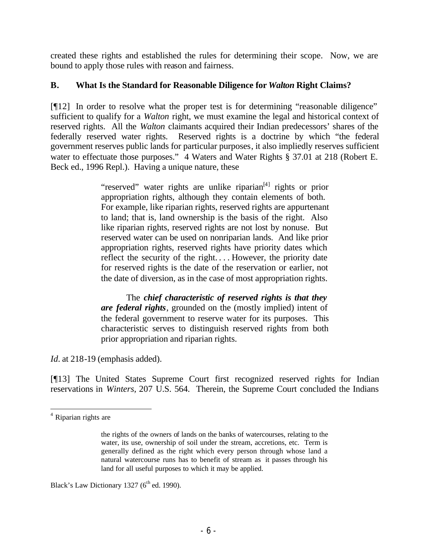created these rights and established the rules for determining their scope. Now, we are bound to apply those rules with reason and fairness.

## **B. What Is the Standard for Reasonable Diligence for** *Walton* **Right Claims?**

[¶12] In order to resolve what the proper test is for determining "reasonable diligence" sufficient to qualify for a *Walton* right, we must examine the legal and historical context of reserved rights. All the *Walton* claimants acquired their Indian predecessors' shares of the federally reserved water rights. Reserved rights is a doctrine by which "the federal government reserves public lands for particular purposes, it also impliedly reserves sufficient water to effectuate those purposes." 4 Waters and Water Rights § 37.01 at 218 (Robert E. Beck ed., 1996 Repl.). Having a unique nature, these

> "reserved" water rights are unlike riparian<sup>[4]</sup> rights or prior appropriation rights, although they contain elements of both. For example, like riparian rights, reserved rights are appurtenant to land; that is, land ownership is the basis of the right. Also like riparian rights, reserved rights are not lost by nonuse. But reserved water can be used on nonriparian lands. And like prior appropriation rights, reserved rights have priority dates which reflect the security of the right. . . . However, the priority date for reserved rights is the date of the reservation or earlier, not the date of diversion, as in the case of most appropriation rights.

> The *chief characteristic of reserved rights is that they are federal rights*, grounded on the (mostly implied) intent of the federal government to reserve water for its purposes. This characteristic serves to distinguish reserved rights from both prior appropriation and riparian rights.

*Id.* at 218-19 (emphasis added).

[¶13] The United States Supreme Court first recognized reserved rights for Indian reservations in *Winters,* 207 U.S. 564. Therein, the Supreme Court concluded the Indians

Black's Law Dictionary 1327 ( $6<sup>th</sup>$  ed. 1990).

 <sup>4</sup> Riparian rights are

the rights of the owners of lands on the banks of watercourses, relating to the water, its use, ownership of soil under the stream, accretions, etc. Term is generally defined as the right which every person through whose land a natural watercourse runs has to benefit of stream as it passes through his land for all useful purposes to which it may be applied.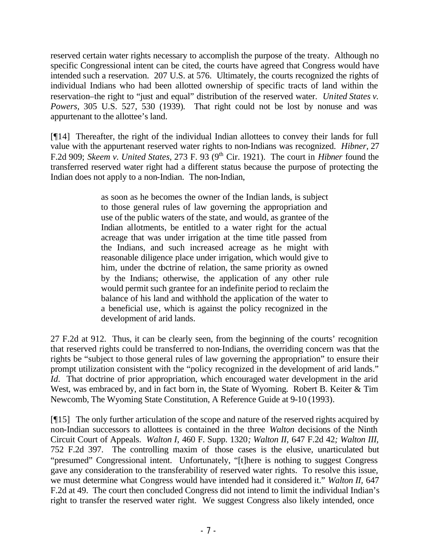reserved certain water rights necessary to accomplish the purpose of the treaty. Although no specific Congressional intent can be cited, the courts have agreed that Congress would have intended such a reservation. 207 U.S. at 576. Ultimately, the courts recognized the rights of individual Indians who had been allotted ownership of specific tracts of land within the reservation–the right to "just and equal" distribution of the reserved water. *United States v. Powers,* 305 U.S. 527, 530 (1939)*.* That right could not be lost by nonuse and was appurtenant to the allottee's land.

[¶14] Thereafter, the right of the individual Indian allottees to convey their lands for full value with the appurtenant reserved water rights to non-Indians was recognized. *Hibner,* 27 F.2d 909; *Skeem v. United States,* 273 F. 93 (9th Cir. 1921). The court in *Hibner* found the transferred reserved water right had a different status because the purpose of protecting the Indian does not apply to a non-Indian. The non-Indian,

> as soon as he becomes the owner of the Indian lands, is subject to those general rules of law governing the appropriation and use of the public waters of the state, and would, as grantee of the Indian allotments, be entitled to a water right for the actual acreage that was under irrigation at the time title passed from the Indians, and such increased acreage as he might with reasonable diligence place under irrigation, which would give to him, under the doctrine of relation, the same priority as owned by the Indians; otherwise, the application of any other rule would permit such grantee for an indefinite period to reclaim the balance of his land and withhold the application of the water to a beneficial use, which is against the policy recognized in the development of arid lands.

27 F.2d at 912*.* Thus, it can be clearly seen, from the beginning of the courts' recognition that reserved rights could be transferred to non-Indians, the overriding concern was that the rights be "subject to those general rules of law governing the appropriation" to ensure their prompt utilization consistent with the "policy recognized in the development of arid lands." *Id.* That doctrine of prior appropriation, which encouraged water development in the arid West, was embraced by, and in fact born in, the State of Wyoming. Robert B. Keiter & Tim Newcomb, The Wyoming State Constitution, A Reference Guide at 9-10 (1993).

[¶15] The only further articulation of the scope and nature of the reserved rights acquired by non-Indian successors to allottees is contained in the three *Walton* decisions of the Ninth Circuit Court of Appeals. *Walton I,* 460 F. Supp. 1320*; Walton II,* 647 F.2d 42*; Walton III,* 752 F.2d 397. The controlling maxim of those cases is the elusive, unarticulated but "presumed" Congressional intent. Unfortunately, "[t]here is nothing to suggest Congress gave any consideration to the transferability of reserved water rights. To resolve this issue, we must determine what Congress would have intended had it considered it." *Walton II,* 647 F.2d at 49. The court then concluded Congress did not intend to limit the individual Indian's right to transfer the reserved water right. We suggest Congress also likely intended, once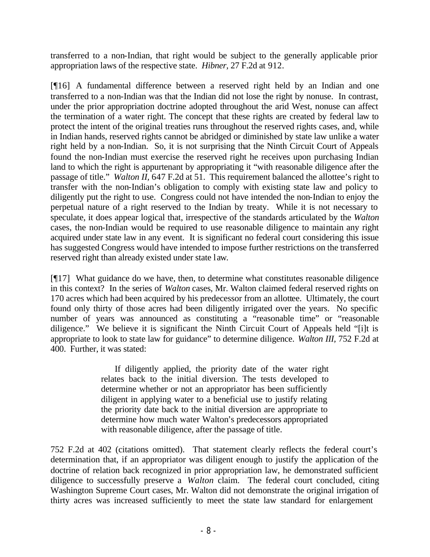transferred to a non-Indian, that right would be subject to the generally applicable prior appropriation laws of the respective state. *Hibner,* 27 F.2d at 912.

[¶16] A fundamental difference between a reserved right held by an Indian and one transferred to a non-Indian was that the Indian did not lose the right by nonuse. In contrast, under the prior appropriation doctrine adopted throughout the arid West, nonuse can affect the termination of a water right. The concept that these rights are created by federal law to protect the intent of the original treaties runs throughout the reserved rights cases, and, while in Indian hands, reserved rights cannot be abridged or diminished by state law unlike a water right held by a non-Indian. So, it is not surprising that the Ninth Circuit Court of Appeals found the non-Indian must exercise the reserved right he receives upon purchasing Indian land to which the right is appurtenant by appropriating it "with reasonable diligence after the passage of title." *Walton II,* 647 F.2d at 51. This requirement balanced the allottee's right to transfer with the non-Indian's obligation to comply with existing state law and policy to diligently put the right to use. Congress could not have intended the non-Indian to enjoy the perpetual nature of a right reserved to the Indian by treaty. While it is not necessary to speculate, it does appear logical that, irrespective of the standards articulated by the *Walton* cases, the non-Indian would be required to use reasonable diligence to maintain any right acquired under state law in any event. It is significant no federal court considering this issue has suggested Congress would have intended to impose further restrictions on the transferred reserved right than already existed under state law.

[¶17] What guidance do we have, then, to determine what constitutes reasonable diligence in this context? In the series of *Walton* cases, Mr. Walton claimed federal reserved rights on 170 acres which had been acquired by his predecessor from an allottee. Ultimately, the court found only thirty of those acres had been diligently irrigated over the years. No specific number of years was announced as constituting a "reasonable time" or "reasonable diligence." We believe it is significant the Ninth Circuit Court of Appeals held "[i]t is appropriate to look to state law for guidance" to determine diligence. *Walton III,* 752 F.2d at 400. Further, it was stated:

> If diligently applied, the priority date of the water right relates back to the initial diversion. The tests developed to determine whether or not an appropriator has been sufficiently diligent in applying water to a beneficial use to justify relating the priority date back to the initial diversion are appropriate to determine how much water Walton's predecessors appropriated with reasonable diligence, after the passage of title.

752 F.2d at 402 (citations omitted). That statement clearly reflects the federal court's determination that, if an appropriator was diligent enough to justify the application of the doctrine of relation back recognized in prior appropriation law, he demonstrated sufficient diligence to successfully preserve a *Walton* claim. The federal court concluded, citing Washington Supreme Court cases, Mr. Walton did not demonstrate the original irrigation of thirty acres was increased sufficiently to meet the state law standard for enlargement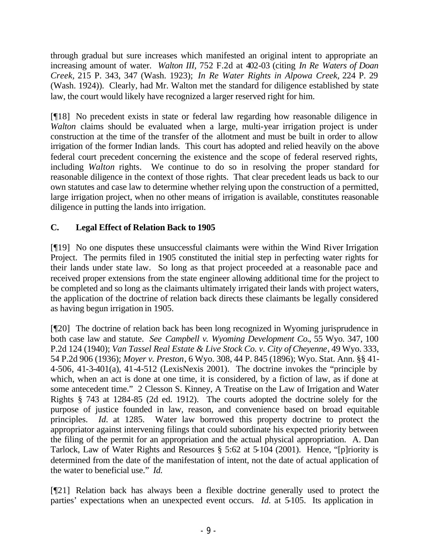through gradual but sure increases which manifested an original intent to appropriate an increasing amount of water. *Walton III,* 752 F.2d at 402-03 (citing *In Re Waters of Doan Creek,* 215 P. 343, 347 (Wash. 1923); *In Re Water Rights in Alpowa Creek,* 224 P. 29 (Wash. 1924)). Clearly, had Mr. Walton met the standard for diligence established by state law, the court would likely have recognized a larger reserved right for him.

[¶18] No precedent exists in state or federal law regarding how reasonable diligence in *Walton* claims should be evaluated when a large, multi-year irrigation project is under construction at the time of the transfer of the allotment and must be built in order to allow irrigation of the former Indian lands. This court has adopted and relied heavily on the above federal court precedent concerning the existence and the scope of federal reserved rights, including *Walton* rights. We continue to do so in resolving the proper standard for reasonable diligence in the context of those rights. That clear precedent leads us back to our own statutes and case law to determine whether relying upon the construction of a permitted, large irrigation project, when no other means of irrigation is available, constitutes reasonable diligence in putting the lands into irrigation.

# **C. Legal Effect of Relation Back to 1905**

[¶19] No one disputes these unsuccessful claimants were within the Wind River Irrigation Project. The permits filed in 1905 constituted the initial step in perfecting water rights for their lands under state law. So long as that project proceeded at a reasonable pace and received proper extensions from the state engineer allowing additional time for the project to be completed and so long as the claimants ultimately irrigated their lands with project waters, the application of the doctrine of relation back directs these claimants be legally considered as having begun irrigation in 1905.

[¶20] The doctrine of relation back has been long recognized in Wyoming jurisprudence in both case law and statute. *See Campbell v. Wyoming Development Co.*, 55 Wyo. 347, 100 P.2d 124 (1940); *Van Tassel Real Estate & Live Stock Co. v. City of Cheyenne*, 49 Wyo. 333, 54 P.2d 906 (1936); *Moyer v. Preston*, 6 Wyo. 308, 44 P. 845 (1896); Wyo. Stat. Ann. §§ 41- 4-506, 41-3-401(a), 41-4-512 (LexisNexis 2001). The doctrine invokes the "principle by which, when an act is done at one time, it is considered, by a fiction of law, as if done at some antecedent time." 2 Clesson S. Kinney, A Treatise on the Law of Irrigation and Water Rights § 743 at 1284-85 (2d ed. 1912). The courts adopted the doctrine solely for the purpose of justice founded in law, reason, and convenience based on broad equitable principles. *Id.* at 1285. Water law borrowed this property doctrine to protect the appropriator against intervening filings that could subordinate his expected priority between the filing of the permit for an appropriation and the actual physical appropriation. A. Dan Tarlock, Law of Water Rights and Resources § 5:62 at 5-104 (2001). Hence, "[p]riority is determined from the date of the manifestation of intent, not the date of actual application of the water to beneficial use." *Id.* 

[¶21] Relation back has always been a flexible doctrine generally used to protect the parties' expectations when an unexpected event occurs. *Id.* at 5-105. Its application in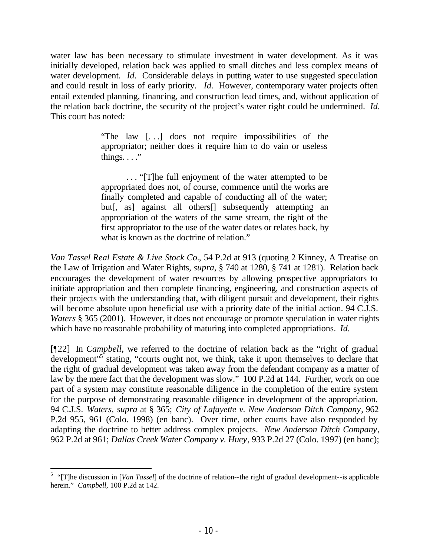water law has been necessary to stimulate investment in water development. As it was initially developed, relation back was applied to small ditches and less complex means of water development. *Id.* Considerable delays in putting water to use suggested speculation and could result in loss of early priority. *Id.* However, contemporary water projects often entail extended planning, financing, and construction lead times, and, without application of the relation back doctrine, the security of the project's water right could be undermined. *Id.* This court has noted*:*

> "The law [. . .] does not require impossibilities of the appropriator; neither does it require him to do vain or useless things.  $\ldots$ ."

> . . . "[T]he full enjoyment of the water attempted to be appropriated does not, of course, commence until the works are finally completed and capable of conducting all of the water; but[, as] against all others[] subsequently attempting an appropriation of the waters of the same stream, the right of the first appropriator to the use of the water dates or relates back, by what is known as the doctrine of relation."

*Van Tassel Real Estate & Live Stock Co.*, 54 P.2d at 913 (quoting 2 Kinney, A Treatise on the Law of Irrigation and Water Rights, *supra*, § 740 at 1280, § 741 at 1281). Relation back encourages the development of water resources by allowing prospective appropriators to initiate appropriation and then complete financing, engineering, and construction aspects of their projects with the understanding that, with diligent pursuit and development, their rights will become absolute upon beneficial use with a priority date of the initial action. 94 C.J.S. *Waters* § 365 (2001). However, it does not encourage or promote speculation in water rights which have no reasonable probability of maturing into completed appropriations. *Id.*

[¶22] In *Campbell*, we referred to the doctrine of relation back as the "right of gradual development<sup>15</sup> stating, "courts ought not, we think, take it upon themselves to declare that the right of gradual development was taken away from the defendant company as a matter of law by the mere fact that the development was slow." 100 P.2d at 144. Further, work on one part of a system may constitute reasonable diligence in the completion of the entire system for the purpose of demonstrating reasonable diligence in development of the appropriation. 94 C.J.S. *Waters, supra* at § 365; *City of Lafayette v. New Anderson Ditch Company*, 962 P.2d 955, 961 (Colo. 1998) (en banc). Over time, other courts have also responded by adapting the doctrine to better address complex projects. *New Anderson Ditch Company*, 962 P.2d at 961; *Dallas Creek Water Company v. Huey*, 933 P.2d 27 (Colo. 1997) (en banc);

<sup>&</sup>lt;sup>5</sup> "[T]he discussion in [*Van Tassel*] of the doctrine of relation--the right of gradual development--is applicable herein." *Campbell*, 100 P.2d at 142.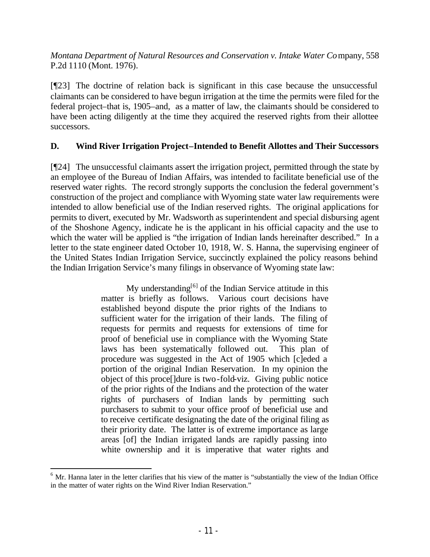*Montana Department of Natural Resources and Conservation v. Intake Water Co*mpany, 558 P.2d 1110 (Mont. 1976).

[¶23] The doctrine of relation back is significant in this case because the unsuccessful claimants can be considered to have begun irrigation at the time the permits were filed for the federal project–that is, 1905–and, as a matter of law, the claimants should be considered to have been acting diligently at the time they acquired the reserved rights from their allottee successors.

## **D. Wind River Irrigation Project–Intended to Benefit Allottes and Their Successors**

[¶24] The unsuccessful claimants assert the irrigation project, permitted through the state by an employee of the Bureau of Indian Affairs, was intended to facilitate beneficial use of the reserved water rights. The record strongly supports the conclusion the federal government's construction of the project and compliance with Wyoming state water law requirements were intended to allow beneficial use of the Indian reserved rights. The original applications for permits to divert, executed by Mr. Wadsworth as superintendent and special disbursing agent of the Shoshone Agency, indicate he is the applicant in his official capacity and the use to which the water will be applied is "the irrigation of Indian lands hereinafter described." In a letter to the state engineer dated October 10, 1918, W. S. Hanna, the supervising engineer of the United States Indian Irrigation Service, succinctly explained the policy reasons behind the Indian Irrigation Service's many filings in observance of Wyoming state law:

> My understanding $[6]$  of the Indian Service attitude in this matter is briefly as follows. Various court decisions have established beyond dispute the prior rights of the Indians to sufficient water for the irrigation of their lands. The filing of requests for permits and requests for extensions of time for proof of beneficial use in compliance with the Wyoming State laws has been systematically followed out. This plan of procedure was suggested in the Act of 1905 which [c]eded a portion of the original Indian Reservation. In my opinion the object of this proce[]dure is two-fold-viz. Giving public notice of the prior rights of the Indians and the protection of the water rights of purchasers of Indian lands by permitting such purchasers to submit to your office proof of beneficial use and to receive certificate designating the date of the original filing as their priority date. The latter is of extreme importance as large areas [of] the Indian irrigated lands are rapidly passing into white ownership and it is imperative that water rights and

 $6$  Mr. Hanna later in the letter clarifies that his view of the matter is "substantially the view of the Indian Office in the matter of water rights on the Wind River Indian Reservation."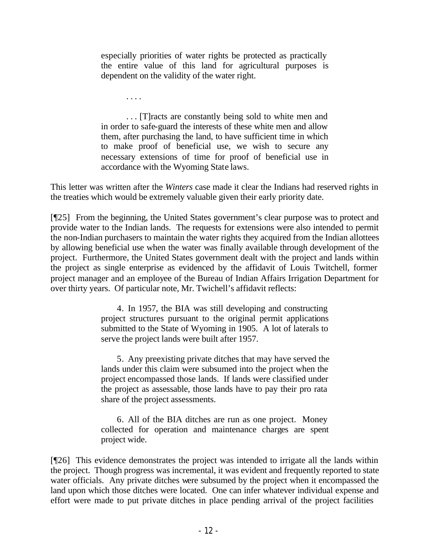especially priorities of water rights be protected as practically the entire value of this land for agricultural purposes is dependent on the validity of the water right.

. . . .

. . . [T]racts are constantly being sold to white men and in order to safe-guard the interests of these white men and allow them, after purchasing the land, to have sufficient time in which to make proof of beneficial use, we wish to secure any necessary extensions of time for proof of beneficial use in accordance with the Wyoming State laws.

This letter was written after the *Winters* case made it clear the Indians had reserved rights in the treaties which would be extremely valuable given their early priority date.

[¶25] From the beginning, the United States government's clear purpose was to protect and provide water to the Indian lands. The requests for extensions were also intended to permit the non-Indian purchasers to maintain the water rights they acquired from the Indian allottees by allowing beneficial use when the water was finally available through development of the project. Furthermore, the United States government dealt with the project and lands within the project as single enterprise as evidenced by the affidavit of Louis Twitchell, former project manager and an employee of the Bureau of Indian Affairs Irrigation Department for over thirty years. Of particular note, Mr. Twichell's affidavit reflects:

> 4. In 1957, the BIA was still developing and constructing project structures pursuant to the original permit applications submitted to the State of Wyoming in 1905. A lot of laterals to serve the project lands were built after 1957.

> 5. Any preexisting private ditches that may have served the lands under this claim were subsumed into the project when the project encompassed those lands. If lands were classified under the project as assessable, those lands have to pay their pro rata share of the project assessments.

> 6. All of the BIA ditches are run as one project. Money collected for operation and maintenance charges are spent project wide.

[¶26] This evidence demonstrates the project was intended to irrigate all the lands within the project. Though progress was incremental, it was evident and frequently reported to state water officials. Any private ditches were subsumed by the project when it encompassed the land upon which those ditches were located. One can infer whatever individual expense and effort were made to put private ditches in place pending arrival of the project facilities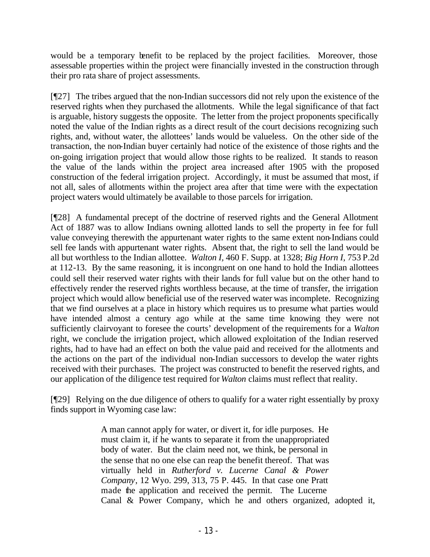would be a temporary benefit to be replaced by the project facilities. Moreover, those assessable properties within the project were financially invested in the construction through their pro rata share of project assessments.

[¶27] The tribes argued that the non-Indian successors did not rely upon the existence of the reserved rights when they purchased the allotments. While the legal significance of that fact is arguable, history suggests the opposite. The letter from the project proponents specifically noted the value of the Indian rights as a direct result of the court decisions recognizing such rights, and, without water, the allottees' lands would be valueless. On the other side of the transaction, the non-Indian buyer certainly had notice of the existence of those rights and the on-going irrigation project that would allow those rights to be realized. It stands to reason the value of the lands within the project area increased after 1905 with the proposed construction of the federal irrigation project. Accordingly, it must be assumed that most, if not all, sales of allotments within the project area after that time were with the expectation project waters would ultimately be available to those parcels for irrigation.

[¶28] A fundamental precept of the doctrine of reserved rights and the General Allotment Act of 1887 was to allow Indians owning allotted lands to sell the property in fee for full value conveying therewith the appurtenant water rights to the same extent non-Indians could sell fee lands with appurtenant water rights. Absent that, the right to sell the land would be all but worthless to the Indian allottee. *Walton I,* 460 F. Supp. at 1328; *Big Horn I,* 753 P.2d at 112-13. By the same reasoning, it is incongruent on one hand to hold the Indian allottees could sell their reserved water rights with their lands for full value but on the other hand to effectively render the reserved rights worthless because, at the time of transfer, the irrigation project which would allow beneficial use of the reserved water was incomplete. Recognizing that we find ourselves at a place in history which requires us to presume what parties would have intended almost a century ago while at the same time knowing they were not sufficiently clairvoyant to foresee the courts' development of the requirements for a *Walton* right, we conclude the irrigation project, which allowed exploitation of the Indian reserved rights, had to have had an effect on both the value paid and received for the allotments and the actions on the part of the individual non-Indian successors to develop the water rights received with their purchases. The project was constructed to benefit the reserved rights, and our application of the diligence test required for *Walton* claims must reflect that reality.

[¶29] Relying on the due diligence of others to qualify for a water right essentially by proxy finds support in Wyoming case law:

> A man cannot apply for water, or divert it, for idle purposes. He must claim it, if he wants to separate it from the unappropriated body of water. But the claim need not, we think, be personal in the sense that no one else can reap the benefit thereof. That was virtually held in *Rutherford v. Lucerne Canal & Power Company*, 12 Wyo. 299, 313, 75 P. 445. In that case one Pratt made the application and received the permit. The Lucerne Canal & Power Company, which he and others organized, adopted it,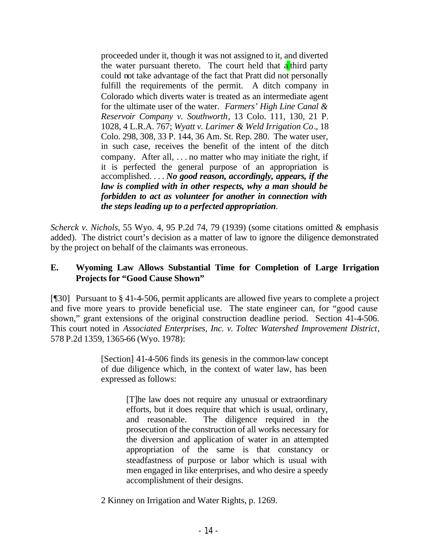proceeded under it, though it was not assigned to it, and diverted the water pursuant thereto. The court held that  $a^{\dagger}$  third party could not take advantage of the fact that Pratt did not personally fulfill the requirements of the permit. A ditch company in Colorado which diverts water is treated as an intermediate agent for the ultimate user of the water. *Farmers' High Line Canal & Reservoir Company v. Southworth*, 13 Colo. 111, 130, 21 P. 1028, 4 L.R.A. 767; *Wyatt v. Larimer & Weld Irrigation Co*., 18 Colo. 298, 308, 33 P. 144, 36 Am. St. Rep. 280. The water user, in such case, receives the benefit of the intent of the ditch company. After all, . . . no matter who may initiate the right, if it is perfected the general purpose of an appropriation is accomplished. . . . *No good reason, accordingly, appears, if the law is complied with in other respects, why a man should be forbidden to act as volunteer for another in connection with the steps leading up to a perfected appropriation.*

*Scherck v. Nichols*, 55 Wyo. 4, 95 P.2d 74, 79 (1939) (some citations omitted & emphasis added). The district court's decision as a matter of law to ignore the diligence demonstrated by the project on behalf of the claimants was erroneous.

## **E. Wyoming Law Allows Substantial Time for Completion of Large Irrigation Projects for "Good Cause Shown"**

[¶30] Pursuant to § 41-4-506, permit applicants are allowed five years to complete a project and five more years to provide beneficial use. The state engineer can, for "good cause shown," grant extensions of the original construction deadline period. Section 41-4-506. This court noted in *Associated Enterprises, Inc. v. Toltec Watershed Improvement District*, 578 P.2d 1359, 1365-66 (Wyo. 1978):

> [Section] 41-4-506 finds its genesis in the common-law concept of due diligence which, in the context of water law, has been expressed as follows:

> > [T]he law does not require any unusual or extraordinary efforts, but it does require that which is usual, ordinary, and reasonable. The diligence required in the prosecution of the construction of all works necessary for the diversion and application of water in an attempted appropriation of the same is that constancy or steadfastness of purpose or labor which is usual with men engaged in like enterprises, and who desire a speedy accomplishment of their designs.

2 Kinney on Irrigation and Water Rights, p. 1269.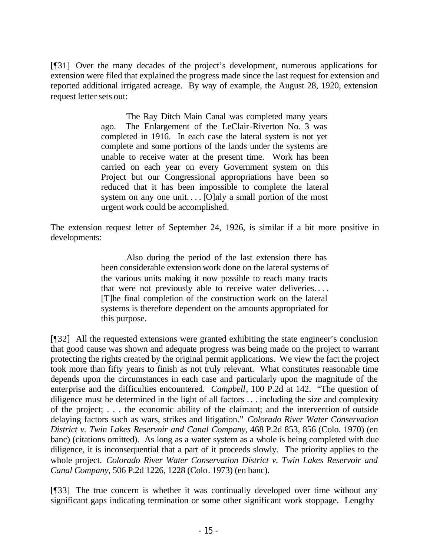[¶31] Over the many decades of the project's development, numerous applications for extension were filed that explained the progress made since the last request for extension and reported additional irrigated acreage. By way of example, the August 28, 1920, extension request letter sets out:

> The Ray Ditch Main Canal was completed many years ago. The Enlargement of the LeClair-Riverton No. 3 was completed in 1916. In each case the lateral system is not yet complete and some portions of the lands under the systems are unable to receive water at the present time. Work has been carried on each year on every Government system on this Project but our Congressional appropriations have been so reduced that it has been impossible to complete the lateral system on any one unit.... [O]nly a small portion of the most urgent work could be accomplished.

The extension request letter of September 24, 1926, is similar if a bit more positive in developments:

> Also during the period of the last extension there has been considerable extension work done on the lateral systems of the various units making it now possible to reach many tracts that were not previously able to receive water deliveries. . . . [T]he final completion of the construction work on the lateral systems is therefore dependent on the amounts appropriated for this purpose.

[¶32] All the requested extensions were granted exhibiting the state engineer's conclusion that good cause was shown and adequate progress was being made on the project to warrant protecting the rights created by the original permit applications. We view the fact the project took more than fifty years to finish as not truly relevant. What constitutes reasonable time depends upon the circumstances in each case and particularly upon the magnitude of the enterprise and the difficulties encountered. *Campbell*, 100 P.2d at 142. "The question of diligence must be determined in the light of all factors . . . including the size and complexity of the project; . . . the economic ability of the claimant; and the intervention of outside delaying factors such as wars, strikes and litigation." *Colorado River Water Conservation District v. Twin Lakes Reservoir and Canal Company*, 468 P.2d 853, 856 (Colo. 1970) (en banc) (citations omitted). As long as a water system as a whole is being completed with due diligence, it is inconsequential that a part of it proceeds slowly. The priority applies to the whole project. *Colorado River Water Conservation District v. Twin Lakes Reservoir and Canal Company*, 506 P.2d 1226, 1228 (Colo. 1973) (en banc).

[¶33] The true concern is whether it was continually developed over time without any significant gaps indicating termination or some other significant work stoppage. Lengthy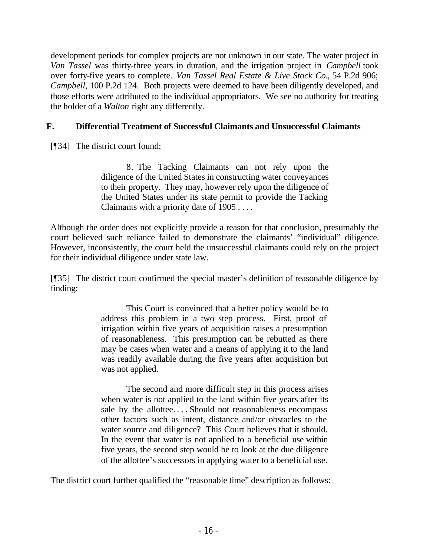development periods for complex projects are not unknown in our state. The water project in *Van Tassel* was thirty-three years in duration, and the irrigation project in *Campbell* took over forty-five years to complete. *Van Tassel Real Estate & Live Stock Co.*, 54 P.2d 906; *Campbell*, 100 P.2d 124. Both projects were deemed to have been diligently developed, and those efforts were attributed to the individual appropriators. We see no authority for treating the holder of a *Walton* right any differently.

# **F. Differential Treatment of Successful Claimants and Unsuccessful Claimants**

[¶34] The district court found:

8. The Tacking Claimants can not rely upon the diligence of the United States in constructing water conveyances to their property. They may, however rely upon the diligence of the United States under its state permit to provide the Tacking Claimants with a priority date of 1905 . . . .

Although the order does not explicitly provide a reason for that conclusion, presumably the court believed such reliance failed to demonstrate the claimants' "individual" diligence. However, inconsistently, the court held the unsuccessful claimants could rely on the project for their individual diligence under state law.

[¶35] The district court confirmed the special master's definition of reasonable diligence by finding:

> This Court is convinced that a better policy would be to address this problem in a two step process. First, proof of irrigation within five years of acquisition raises a presumption of reasonableness. This presumption can be rebutted as there may be cases when water and a means of applying it to the land was readily available during the five years after acquisition but was not applied.

> The second and more difficult step in this process arises when water is not applied to the land within five years after its sale by the allottee. . . . Should not reasonableness encompass other factors such as intent, distance and/or obstacles to the water source and diligence? This Court believes that it should. In the event that water is not applied to a beneficial use within five years, the second step would be to look at the due diligence of the allottee's successors in applying water to a beneficial use.

The district court further qualified the "reasonable time" description as follows: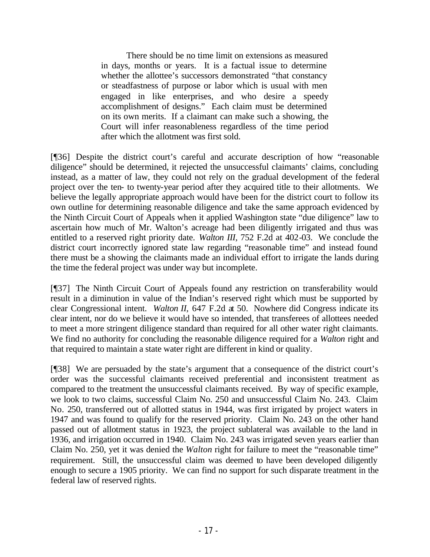There should be no time limit on extensions as measured in days, months or years. It is a factual issue to determine whether the allottee's successors demonstrated "that constancy or steadfastness of purpose or labor which is usual with men engaged in like enterprises, and who desire a speedy accomplishment of designs." Each claim must be determined on its own merits. If a claimant can make such a showing, the Court will infer reasonableness regardless of the time period after which the allotment was first sold.

[¶36] Despite the district court's careful and accurate description of how "reasonable diligence" should be determined, it rejected the unsuccessful claimants' claims, concluding instead, as a matter of law, they could not rely on the gradual development of the federal project over the ten- to twenty-year period after they acquired title to their allotments. We believe the legally appropriate approach would have been for the district court to follow its own outline for determining reasonable diligence and take the same approach evidenced by the Ninth Circuit Court of Appeals when it applied Washington state "due diligence" law to ascertain how much of Mr. Walton's acreage had been diligently irrigated and thus was entitled to a reserved right priority date. *Walton III,* 752 F.2d at 402-03. We conclude the district court incorrectly ignored state law regarding "reasonable time" and instead found there must be a showing the claimants made an individual effort to irrigate the lands during the time the federal project was under way but incomplete.

[¶37] The Ninth Circuit Court of Appeals found any restriction on transferability would result in a diminution in value of the Indian's reserved right which must be supported by clear Congressional intent. *Walton II,* 647 F.2d at 50. Nowhere did Congress indicate its clear intent, nor do we believe it would have so intended, that transferees of allottees needed to meet a more stringent diligence standard than required for all other water right claimants. We find no authority for concluding the reasonable diligence required for a *Walton* right and that required to maintain a state water right are different in kind or quality.

[¶38] We are persuaded by the state's argument that a consequence of the district court's order was the successful claimants received preferential and inconsistent treatment as compared to the treatment the unsuccessful claimants received. By way of specific example, we look to two claims, successful Claim No. 250 and unsuccessful Claim No. 243. Claim No. 250, transferred out of allotted status in 1944, was first irrigated by project waters in 1947 and was found to qualify for the reserved priority. Claim No. 243 on the other hand passed out of allotment status in 1923, the project sublateral was available to the land in 1936, and irrigation occurred in 1940. Claim No. 243 was irrigated seven years earlier than Claim No. 250, yet it was denied the *Walton* right for failure to meet the "reasonable time" requirement. Still, the unsuccessful claim was deemed to have been developed diligently enough to secure a 1905 priority. We can find no support for such disparate treatment in the federal law of reserved rights.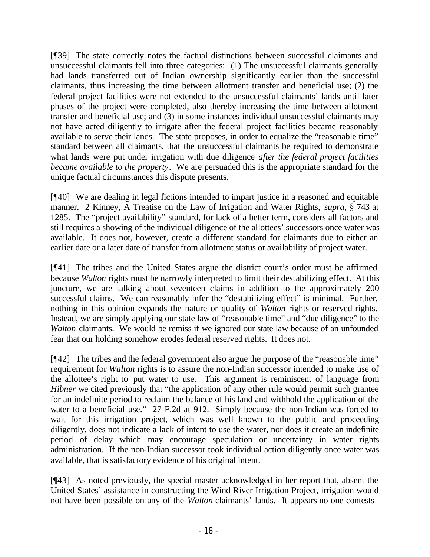[¶39] The state correctly notes the factual distinctions between successful claimants and unsuccessful claimants fell into three categories: (1) The unsuccessful claimants generally had lands transferred out of Indian ownership significantly earlier than the successful claimants, thus increasing the time between allotment transfer and beneficial use; (2) the federal project facilities were not extended to the unsuccessful claimants' lands until later phases of the project were completed, also thereby increasing the time between allotment transfer and beneficial use; and (3) in some instances individual unsuccessful claimants may not have acted diligently to irrigate after the federal project facilities became reasonably available to serve their lands. The state proposes, in order to equalize the "reasonable time" standard between all claimants, that the unsuccessful claimants be required to demonstrate what lands were put under irrigation with due diligence *after the federal project facilities became available to the property*. We are persuaded this is the appropriate standard for the unique factual circumstances this dispute presents.

[¶40] We are dealing in legal fictions intended to impart justice in a reasoned and equitable manner. 2 Kinney, A Treatise on the Law of Irrigation and Water Rights, *supra,* § 743 at 1285. The "project availability" standard, for lack of a better term, considers all factors and still requires a showing of the individual diligence of the allottees' successors once water was available. It does not, however, create a different standard for claimants due to either an earlier date or a later date of transfer from allotment status or availability of project water.

[¶41] The tribes and the United States argue the district court's order must be affirmed because *Walton* rights must be narrowly interpreted to limit their destabilizing effect. At this juncture, we are talking about seventeen claims in addition to the approximately 200 successful claims. We can reasonably infer the "destabilizing effect" is minimal. Further, nothing in this opinion expands the nature or quality of *Walton* rights or reserved rights. Instead, we are simply applying our state law of "reasonable time" and "due diligence" to the *Walton* claimants. We would be remiss if we ignored our state law because of an unfounded fear that our holding somehow erodes federal reserved rights. It does not.

[¶42] The tribes and the federal government also argue the purpose of the "reasonable time" requirement for *Walton* rights is to assure the non-Indian successor intended to make use of the allottee's right to put water to use. This argument is reminiscent of language from *Hibner* we cited previously that "the application of any other rule would permit such grantee for an indefinite period to reclaim the balance of his land and withhold the application of the water to a beneficial use." 27 F.2d at 912. Simply because the non-Indian was forced to wait for this irrigation project, which was well known to the public and proceeding diligently, does not indicate a lack of intent to use the water, nor does it create an indefinite period of delay which may encourage speculation or uncertainty in water rights administration. If the non-Indian successor took individual action diligently once water was available, that is satisfactory evidence of his original intent.

[¶43] As noted previously, the special master acknowledged in her report that, absent the United States' assistance in constructing the Wind River Irrigation Project, irrigation would not have been possible on any of the *Walton* claimants' lands. It appears no one contests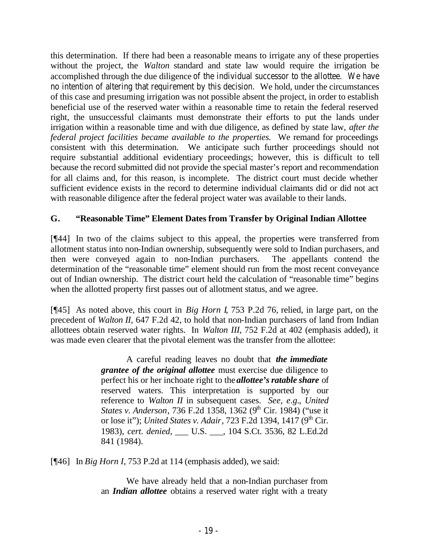this determination. If there had been a reasonable means to irrigate any of these properties without the project, the *Walton* standard and state law would require the irrigation be accomplished through the due diligence of the individual successor to the allottee. We have no intention of altering that requirement by this decision. We hold, under the circumstances of this case and presuming irrigation was not possible absent the project, in order to establish beneficial use of the reserved water within a reasonable time to retain the federal reserved right, the unsuccessful claimants must demonstrate their efforts to put the lands under irrigation within a reasonable time and with due diligence, as defined by state law, *after the federal project facilities became available to the properties.* We remand for proceedings consistent with this determination. We anticipate such further proceedings should not require substantial additional evidentiary proceedings; however, this is difficult to tell because the record submitted did not provide the special master's report and recommendation for all claims and, for this reason, is incomplete. The district court must decide whether sufficient evidence exists in the record to determine individual claimants did or did not act with reasonable diligence after the federal project water was available to their lands.

# **G. "Reasonable Time" Element Dates from Transfer by Original Indian Allottee**

[¶44] In two of the claims subject to this appeal, the properties were transferred from allotment status into non-Indian ownership, subsequently were sold to Indian purchasers, and then were conveyed again to non-Indian purchasers. The appellants contend the determination of the "reasonable time" element should run from the most recent conveyance out of Indian ownership. The district court held the calculation of "reasonable time" begins when the allotted property first passes out of allotment status, and we agree.

[¶45] As noted above, this court in *Big Horn I*, 753 P.2d 76, relied, in large part, on the precedent of *Walton II,* 647 F.2d 42, to hold that non-Indian purchasers of land from Indian allottees obtain reserved water rights. In *Walton III,* 752 F.2d at 402 (emphasis added), it was made even clearer that the pivotal element was the transfer from the allottee:

> A careful reading leaves no doubt that *the immediate grantee of the original allottee* must exercise due diligence to perfect his or her inchoate right to the *allottee's ratable share* of reserved waters. This interpretation is supported by our reference to *Walton II* in subsequent cases. *See, e.g.*, *United States v. Anderson, 736 F.2d 1358, 1362 (9<sup>th</sup> Cir. 1984) ("use it* or lose it"); *United States v. Adair*, 723 F.2d 1394, 1417 (9<sup>th</sup> Cir. 1983), *cert. denied*, \_\_\_ U.S. \_\_\_, 104 S.Ct. 3536, 82 L.Ed.2d 841 (1984).

[¶46] In *Big Horn I*, 753 P.2d at 114 (emphasis added), we said:

We have already held that a non-Indian purchaser from an *Indian allottee* obtains a reserved water right with a treaty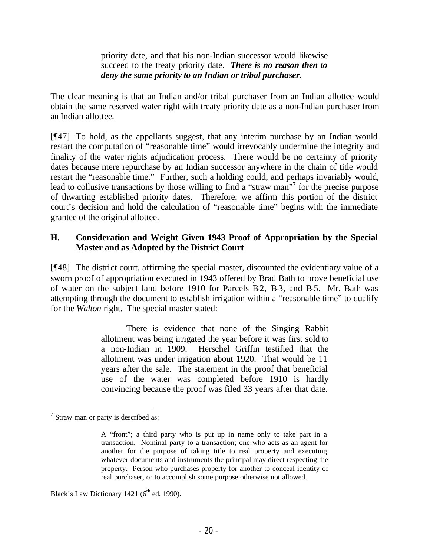#### priority date, and that his non-Indian successor would likewise succeed to the treaty priority date. *There is no reason then to deny the same priority to an Indian or tribal purchaser.*

The clear meaning is that an Indian and/or tribal purchaser from an Indian allottee would obtain the same reserved water right with treaty priority date as a non-Indian purchaser from an Indian allottee*.* 

[¶47] To hold, as the appellants suggest, that any interim purchase by an Indian would restart the computation of "reasonable time" would irrevocably undermine the integrity and finality of the water rights adjudication process. There would be no certainty of priority dates because mere repurchase by an Indian successor anywhere in the chain of title would restart the "reasonable time." Further, such a holding could, and perhaps invariably would, lead to collusive transactions by those willing to find a "straw man"<sup>7</sup> for the precise purpose of thwarting established priority dates. Therefore, we affirm this portion of the district court's decision and hold the calculation of "reasonable time" begins with the immediate grantee of the original allottee.

## **H. Consideration and Weight Given 1943 Proof of Appropriation by the Special Master and as Adopted by the District Court**

[¶48] The district court, affirming the special master, discounted the evidentiary value of a sworn proof of appropriation executed in 1943 offered by Brad Bath to prove beneficial use of water on the subject land before 1910 for Parcels B-2, B-3, and B-5. Mr. Bath was attempting through the document to establish irrigation within a "reasonable time" to qualify for the *Walton* right. The special master stated:

> There is evidence that none of the Singing Rabbit allotment was being irrigated the year before it was first sold to a non-Indian in 1909. Herschel Griffin testified that the allotment was under irrigation about 1920. That would be 11 years after the sale. The statement in the proof that beneficial use of the water was completed before 1910 is hardly convincing because the proof was filed 33 years after that date.

Black's Law Dictionary 1421 ( $6<sup>th</sup>$  ed. 1990).

  $7$  Straw man or party is described as:

A "front"; a third party who is put up in name only to take part in a transaction. Nominal party to a transaction; one who acts as an agent for another for the purpose of taking title to real property and executing whatever documents and instruments the principal may direct respecting the property. Person who purchases property for another to conceal identity of real purchaser, or to accomplish some purpose otherwise not allowed.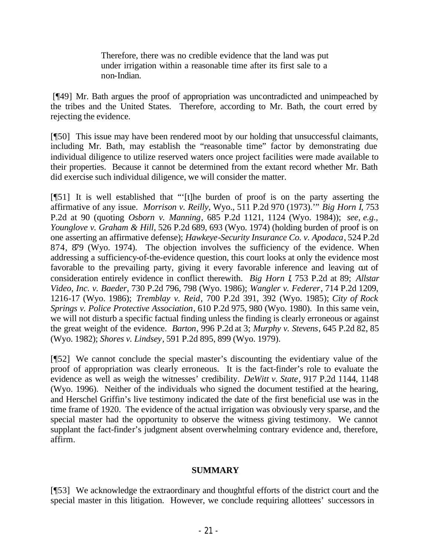Therefore, there was no credible evidence that the land was put under irrigation within a reasonable time after its first sale to a non-Indian.

 [¶49] Mr. Bath argues the proof of appropriation was uncontradicted and unimpeached by the tribes and the United States. Therefore, according to Mr. Bath, the court erred by rejecting the evidence.

[¶50] This issue may have been rendered moot by our holding that unsuccessful claimants, including Mr. Bath, may establish the "reasonable time" factor by demonstrating due individual diligence to utilize reserved waters once project facilities were made available to their properties. Because it cannot be determined from the extant record whether Mr. Bath did exercise such individual diligence, we will consider the matter.

[¶51] It is well established that "'[t]he burden of proof is on the party asserting the affirmative of any issue. *Morrison v. Reilly*, Wyo., 511 P.2d 970 (1973).'" *Big Horn I*, 753 P.2d at 90 (quoting *Osborn v. Manning*, 685 P.2d 1121, 1124 (Wyo. 1984)); *see, e.g., Younglove v. Graham & Hill*, 526 P.2d 689, 693 (Wyo. 1974) (holding burden of proof is on one asserting an affirmative defense); *Hawkeye-Security Insurance Co. v. Apodaca*, 524 P.2d 874, 879 (Wyo. 1974). The objection involves the sufficiency of the evidence. When addressing a sufficiency-of-the-evidence question, this court looks at only the evidence most favorable to the prevailing party, giving it every favorable inference and leaving out of consideration entirely evidence in conflict therewith. *Big Horn I*, 753 P.2d at 89; *Allstar Video, Inc. v. Baeder*, 730 P.2d 796, 798 (Wyo. 1986); *Wangler v. Federer*, 714 P.2d 1209, 1216-17 (Wyo. 1986); *Tremblay v. Reid*, 700 P.2d 391, 392 (Wyo. 1985); *City of Rock Springs v. Police Protective Association*, 610 P.2d 975, 980 (Wyo. 1980). In this same vein, we will not disturb a specific factual finding unless the finding is clearly erroneous or against the great weight of the evidence. *Barton*, 996 P.2d at 3; *Murphy v. Stevens*, 645 P.2d 82, 85 (Wyo. 1982); *Shores v. Lindsey*, 591 P.2d 895, 899 (Wyo. 1979).

[¶52] We cannot conclude the special master's discounting the evidentiary value of the proof of appropriation was clearly erroneous. It is the fact-finder's role to evaluate the evidence as well as weigh the witnesses' credibility. *DeWitt v. State*, 917 P.2d 1144, 1148 (Wyo. 1996). Neither of the individuals who signed the document testified at the hearing, and Herschel Griffin's live testimony indicated the date of the first beneficial use was in the time frame of 1920. The evidence of the actual irrigation was obviously very sparse, and the special master had the opportunity to observe the witness giving testimony. We cannot supplant the fact-finder's judgment absent overwhelming contrary evidence and, therefore, affirm.

## **SUMMARY**

[¶53] We acknowledge the extraordinary and thoughtful efforts of the district court and the special master in this litigation. However, we conclude requiring allottees' successors in